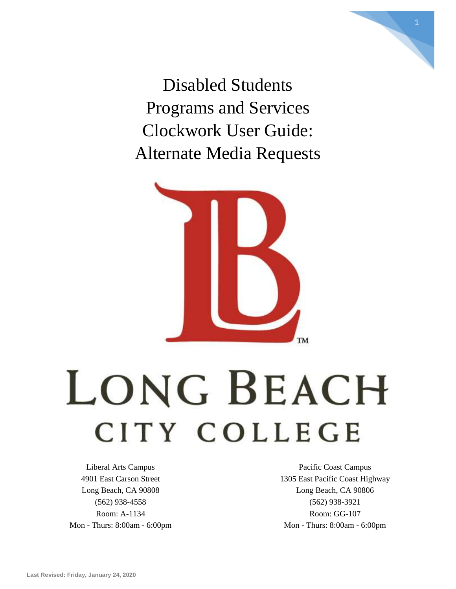Disabled Students Programs and Services Clockwork User Guide: Alternate Media Requests



# LONG BEACH CITY COLLEGE

Liberal Arts Campus 4901 East Carson Street Long Beach, CA 90808 (562) 938-4558 Room: A-1134 Mon - Thurs: 8:00am - 6:00pm

Pacific Coast Campus 1305 East Pacific Coast Highway Long Beach, CA 90806 (562) 938-3921 Room: GG-107 Mon - Thurs: 8:00am - 6:00pm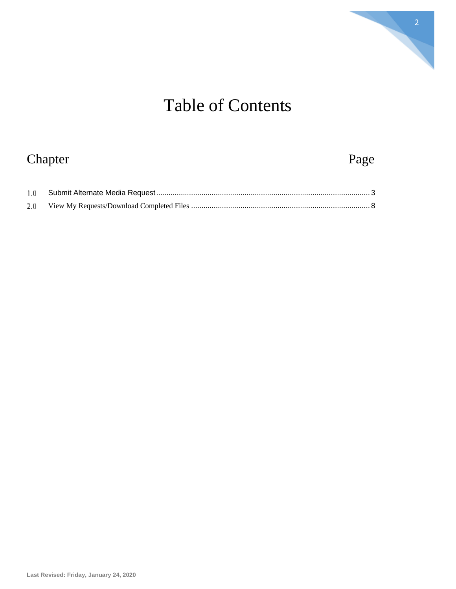

# Table of Contents

## Chapter Page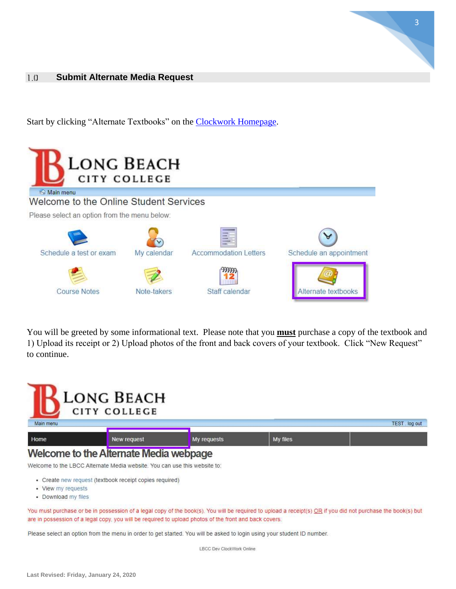## <span id="page-2-0"></span>**Submit Alternate Media Request** 1.0 Submit Alternate Media Request

Start by clicking "Alternate Textbooks" on the **Clockwork Homepage**.



You will be greeted by some informational text. Please note that you **must** purchase a copy of the textbook and 1) Upload its receipt or 2) Upload photos of the front and back covers of your textbook. Click "New Request" to continue.

3



Welcome to the LBCC Alternate Media website. You can use this website to:

- Create new request (textbook receipt copies required)
- View my requests
- Download my files

You must purchase or be in possession of a legal copy of the book(s). You will be required to upload a receipt(s) OR if you did not purchase the book(s) but are in possession of a legal copy, you will be required to upload photos of the front and back covers.

Please select an option from the menu in order to get started. You will be asked to login using your student ID number.

LBCC Dev ClockWork Online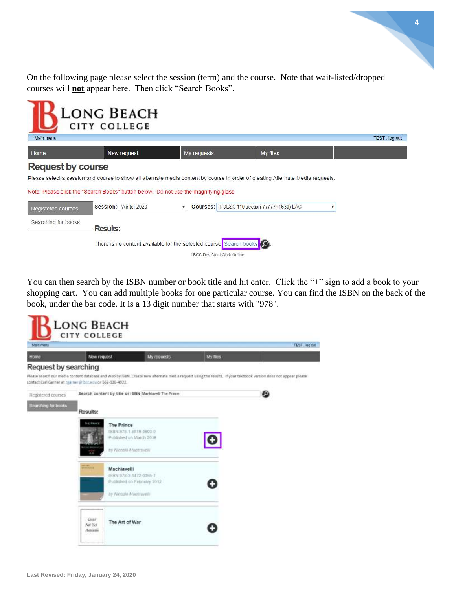On the following page please select the session (term) and the course. Note that wait-listed/dropped courses will **not** appear here. Then click "Search Books".



You can then search by the ISBN number or book title and hit enter. Click the "+" sign to add a book to your shopping cart. You can add multiple books for one particular course. You can find the ISBN on the back of the book, under the bar code. It is a 13 digit number that starts with "978".

| Main menu                    |                                                           |                                                                                                                                                                 |          | No por TEST |
|------------------------------|-----------------------------------------------------------|-----------------------------------------------------------------------------------------------------------------------------------------------------------------|----------|-------------|
| Home<br>Request by searching | New request                                               | My requests                                                                                                                                                     | My files |             |
|                              | contact Carl Garner at caarner@fbirr.edu or 562-938-4922. | Please search our media content database and Web by ISBN. Create new alternate media request using the results. If your textbook version does not appear please |          |             |
| Registered courses           | Search content by title or ISBN Machiaveli The Prince     |                                                                                                                                                                 |          | ◙           |
| Searching for books          | Results:                                                  |                                                                                                                                                                 |          |             |
|                              | THE PRINCE<br>The Prince                                  | 18日程:975-1-5出19-5903-0                                                                                                                                          |          |             |
|                              |                                                           | Published on March 2016                                                                                                                                         |          |             |
|                              |                                                           | by Nicoalo Machavell                                                                                                                                            |          |             |
|                              | <b>THE STATE</b><br>Machiavelli                           |                                                                                                                                                                 |          |             |
|                              |                                                           | ISBN 978-3-6472-0395-7<br>Published on February 2012                                                                                                            |          |             |
|                              |                                                           | by Modaló Máchiavedi                                                                                                                                            |          |             |
|                              | Cintr'<br>The Art of War                                  |                                                                                                                                                                 |          |             |
|                              | Nor Yet<br><b>Antichile</b>                               |                                                                                                                                                                 |          |             |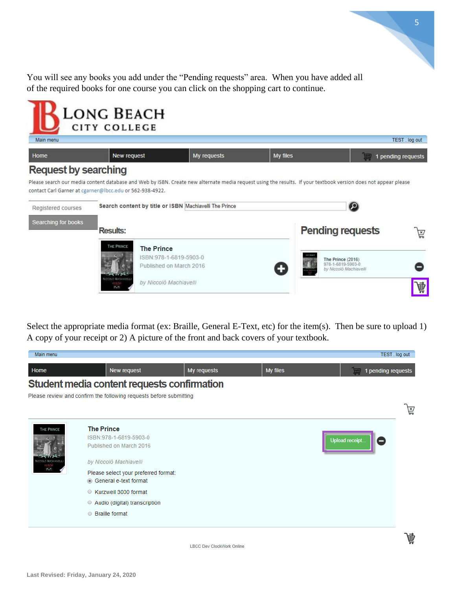You will see any books you add under the "Pending requests" area. When you have added all of the required books for one course you can click on the shopping cart to continue.



5

Select the appropriate media format (ex: Braille, General E-Text, etc) for the item(s). Then be sure to upload 1) A copy of your receipt or 2) A picture of the front and back covers of your textbook.

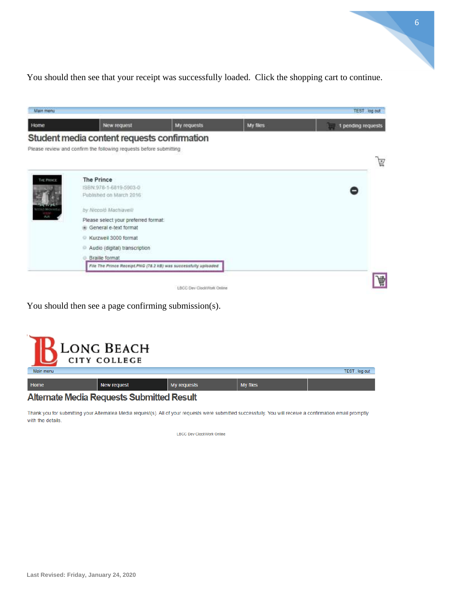You should then see that your receipt was successfully loaded. Click the shopping cart to continue.

| Home       | New request                                                        | My requests                                                     | My files | 1 pending requests |   |
|------------|--------------------------------------------------------------------|-----------------------------------------------------------------|----------|--------------------|---|
|            | Student media content requests confirmation                        |                                                                 |          |                    |   |
|            | Please review and confirm the following requests before submitting |                                                                 |          |                    |   |
|            |                                                                    |                                                                 |          |                    | 島 |
|            |                                                                    |                                                                 |          |                    |   |
| THE PHINCE | <b>The Prince</b>                                                  |                                                                 |          |                    |   |
|            | ISBN 978-1-6819-5903-0                                             |                                                                 |          |                    |   |
|            | Published on March 2016                                            |                                                                 |          |                    |   |
| Mazieran   | by Niccoló Machiavelli                                             |                                                                 |          |                    |   |
|            | Please select your preferred format:                               |                                                                 |          |                    |   |
|            | General e-text format                                              |                                                                 |          |                    |   |
|            | Kurzweil 3000 format                                               |                                                                 |          |                    |   |
|            | Audio (digital) transcription                                      |                                                                 |          |                    |   |
|            | <b>Braille format</b>                                              |                                                                 |          |                    |   |
|            |                                                                    | File The Prince Receipt.PNG (78.2 kB) was successfully uploaded |          |                    |   |

You should then see a page confirming submission(s).

|                                                  | LONG BEACH<br>CITY COLLEGE |             |          |               |  |
|--------------------------------------------------|----------------------------|-------------|----------|---------------|--|
| Main menu                                        |                            |             |          | TEST. log out |  |
| Home                                             | <b>New request</b>         | My requests | My files |               |  |
| <b>Alternate Media Requests Submitted Result</b> |                            |             |          |               |  |

Thank you for submitting your Alternatea Media request(s). All of your requests were submitted successfully. You will receive a confirmation email promptly with the details.

**LBCC Dev ClockWork Online** 

 $\mathbf{r}$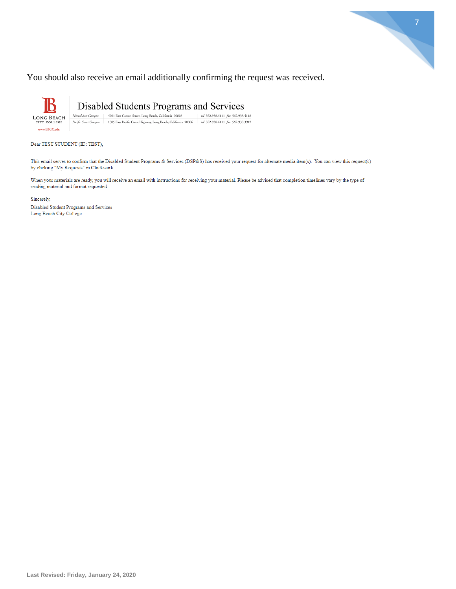

### You should also receive an email additionally confirming the request was received.

Disabled Students Programs and Services Liberal Arts Campus | 4901 East Carson Street, Long Beach, California 90808 | tel 562.938.4111 fax 562.938.4118<br>| Pacific Coast Campus | 1305 East Pacific Coast Highway, Long Beach, California 90806 | tel 562.938.4111 fax LONG BEACH<br>CITY COLLEGE www.LBCC.edu

Dear TEST STUDENT (ID: TEST),

This email serves to confirm that the Disabled Student Programs & Services (DSP&S) has received your request for alternate media item(s). You can view this request(s) by clicking "My Requests" in Clockwork.

When your materials are ready, you will receive an email with instructions for receiving your material. Please be advised that completion timelines vary by the type of reading material and format requested.

Sincerely,

Disabled Student Programs and Services Long Beach City College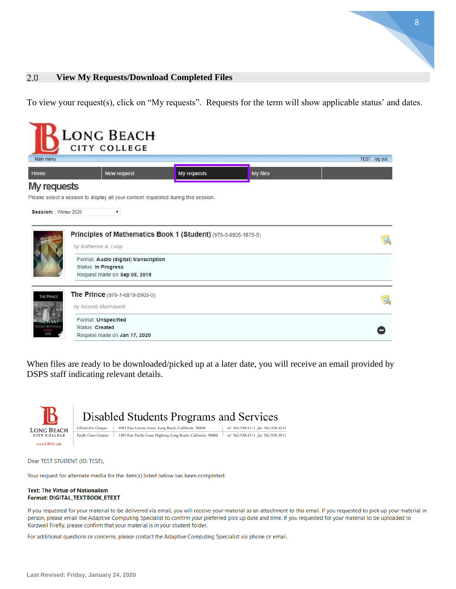#### <span id="page-7-0"></span>**View My Requests/Download Completed Files**  $2.0$

To view your request(s), click on "My requests". Requests for the term will show applicable status' and dates.

| Main menu             | <b>LONG BEACH</b><br><b>CITY COLLEGE</b>                                                     |             |          | TEST. log out |
|-----------------------|----------------------------------------------------------------------------------------------|-------------|----------|---------------|
|                       |                                                                                              |             |          |               |
| Home                  | New request                                                                                  | My requests | My files |               |
| <b>My requests</b>    |                                                                                              |             |          |               |
|                       | Please select a session to display all your content requested during this session.           |             |          |               |
| Session: Winter 2020  | ▼                                                                                            |             |          |               |
|                       |                                                                                              |             |          |               |
|                       | Principles of Mathematics Book 1 (Student) (978-0-8905-1875-5)<br>by Katherine A. Loop       |             |          |               |
|                       | Format: Audio (digital) transcription<br>Status: In Progress<br>Request made on Sep 09, 2019 |             |          |               |
| THE PRINCE            | The Prince (978-1-6819-5903-0)                                                               |             |          |               |
|                       | by Niccolò Machiavelli<br>Format: Unspecified                                                |             |          |               |
| <b>COLO MACHIAVEL</b> | Status: Created                                                                              |             |          |               |
| 840                   | Request made on Jan 17, 2020                                                                 |             |          |               |

When files are ready to be downloaded/picked up at a later date, you will receive an email provided by DSPS staff indicating relevant details.



#### Dear TEST STUDENT (ID: TEST),

Your request for alternate media for the item(s) listed below has been completed:

#### **Text: The Virtue of Nationalism** Format: DIGITAL\_TEXTBOOK\_ETEXT

If you requested for your material to be delivered via email, you will receive your material as an attachment to this email. If you requested to pick up your material in person, please email the Adaptive Computing Specialist to confirm your preferred pick up date and time. If you requested for your material to be uploaded to Kurzweil Firefly, please confirm that your material is in your student folder.

For additional questions or concerns, please contact the Adaptive Computing Specialist via phone or email.